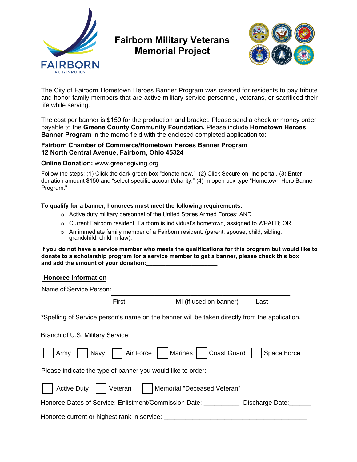

# **Fairborn Military Veterans Memorial Project**



The City of Fairborn Hometown Heroes Banner Program was created for residents to pay tribute and honor family members that are active military service personnel, veterans, or sacrificed their life while serving.

The cost per banner is \$150 for the production and bracket. Please send a check or money order payable to the **Greene County Community Foundation.** Please include **Hometown Heroes Banner Program** in the memo field with the enclosed completed application to:

#### **Fairborn Chamber of Commerce/Hometown Heroes Banner Program 12 North Central Avenue, Fairborn, Ohio 45324**

#### **Online Donation:** [w](http://www.greenegiving.org)[ww.greenegiving.org](http://www.greenegiving.orgFollow)

Follow the steps: (1) Click the dark green box "donate now." (2) Click Secure on-line portal . (3) Enter donation amount \$150 and "select specific account/charity." (4) In open box type "Hometown Hero Banner Program."

## **To qualify for a banner, honorees must meet the following requirements:**

- o Active duty military personnel of the United States Armed Forces; AND
- o Current Fairborn resident, Fairborn is individual's hometown, assigned to WPAFB; OR
- $\circ$  An immediate family member of a Fairborn resident. (parent, spouse, child, sibling, grandchild, child-in-law).

**If you do not have a service member who meets the qualifications for this program but would like to donate to a scholarship program for a service member to get a banner, please check this box**  and add the amount of your donation:

## **Honoree Information**

| Name of Service Person: |  |
|-------------------------|--|
|                         |  |

First MI (if used on banner) Last

\*Spelling of Service person's name on the banner will be taken directly from the application.

Branch of U.S. Military Service:

| Army Navy Air Force   Marines   Coast Guard<br>Space Force                       |
|----------------------------------------------------------------------------------|
| Please indicate the type of banner you would like to order:                      |
| Active Duty     Veteran  <br>  Memorial "Deceased Veteran"                       |
| Honoree Dates of Service: Enlistment/Commission Date: _______<br>Discharge Date: |
| Honoree current or highest rank in service:                                      |